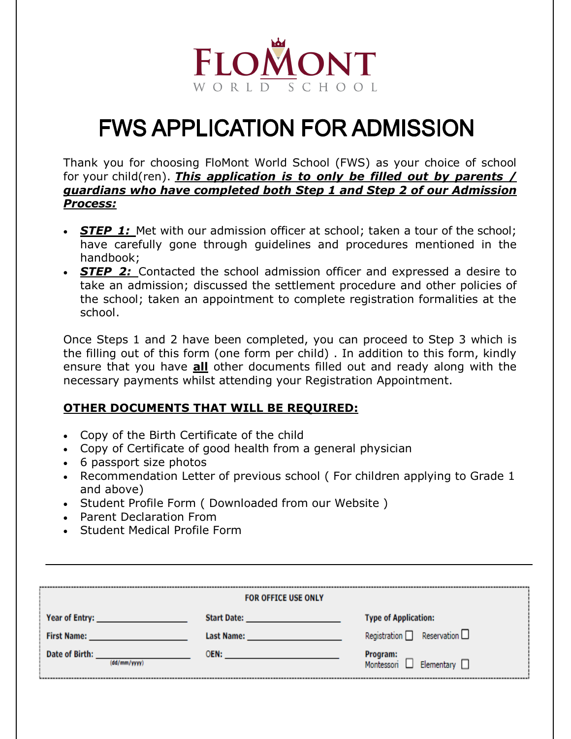

# **FWS APPLICATION FOR ADMISSION**

Thank you for choosing FloMont World School (FWS) as your choice of school for your child(ren). *This application is to only be filled out by parents / guardians who have completed both Step 1 and Step 2 of our Admission Process:*

- **STEP 1:** Met with our admission officer at school; taken a tour of the school; have carefully gone through guidelines and procedures mentioned in the handbook;
- *STEP 2:* Contacted the school admission officer and expressed a desire to take an admission; discussed the settlement procedure and other policies of the school; taken an appointment to complete registration formalities at the school.

Once Steps 1 and 2 have been completed, you can proceed to Step 3 which is the filling out of this form (one form per child) . In addition to this form, kindly ensure that you have **all** other documents filled out and ready along with the necessary payments whilst attending your Registration Appointment.

#### **OTHER DOCUMENTS THAT WILL BE REQUIRED:**

- Copy of the Birth Certificate of the child
- Copy of Certificate of good health from a general physician
- 6 passport size photos
- Recommendation Letter of previous school (For children applying to Grade 1 and above)
- Student Profile Form ( Downloaded from our Website )
- Parent Declaration From
- Student Medical Profile Form

| <b>FOR OFFICE USE ONLY</b>                                                                                     |                                                                                                                 |                                                        |  |
|----------------------------------------------------------------------------------------------------------------|-----------------------------------------------------------------------------------------------------------------|--------------------------------------------------------|--|
| Year of Entry: New York and Search Andrew York and Search Andrew York and Search Andrew York and Search Andrew | Start Date: <b>Example 2014</b>                                                                                 | <b>Type of Application:</b>                            |  |
| <b>First Name: Example 2018</b>                                                                                | Last Name: Name and Service and Service and Service and Service and Service and Service and Service and Service | Registration $\Box$ Reservation $\Box$                 |  |
| Date of Birth:<br>(dd/mm/yyyy)                                                                                 |                                                                                                                 | <b>Program:</b><br>Montessori $\Box$ Elementary $\Box$ |  |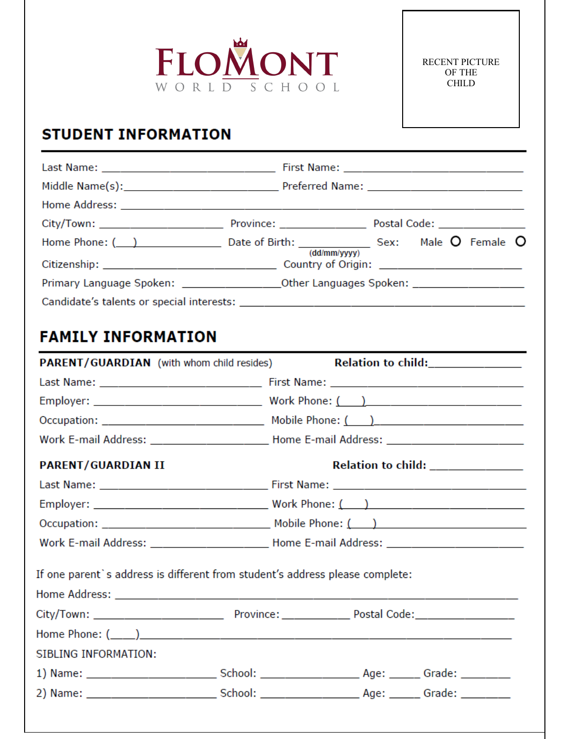

# **STUDENT INFORMATION**

|                                                                                   |  | Home Phone: $($ $)$ Date of Birth: $($ $)$ Date of Birth: $($ $)$ $($ $)$ $($ $)$ $($ $)$ $)$ $($ $)$ $)$ $\frac{1}{($ $)$ $\frac{1}{($ $)$ $\frac{1}{($ $)$ $\frac{1}{($ $)$ $\frac{1}{($ $)$ $\frac{1}{($ $)$ $\frac{1}{($ $)$ $\frac{1}{($ $)$ $\frac{1}{(1)}$ |  |
|-----------------------------------------------------------------------------------|--|-------------------------------------------------------------------------------------------------------------------------------------------------------------------------------------------------------------------------------------------------------------------|--|
|                                                                                   |  | Primary Language Spoken: _______________________Other Languages Spoken: ____________________________                                                                                                                                                              |  |
|                                                                                   |  |                                                                                                                                                                                                                                                                   |  |
| <b>FAMILY INFORMATION</b>                                                         |  |                                                                                                                                                                                                                                                                   |  |
| <b>PARENT/GUARDIAN</b> (with whom child resides)                                  |  | Relation to child:_______________                                                                                                                                                                                                                                 |  |
|                                                                                   |  |                                                                                                                                                                                                                                                                   |  |
|                                                                                   |  |                                                                                                                                                                                                                                                                   |  |
|                                                                                   |  | $Occupation: ____________\_$ Mobile Phone: $( )$                                                                                                                                                                                                                  |  |
|                                                                                   |  | Work E-mail Address: ____________________________Home E-mail Address: ______________________________                                                                                                                                                              |  |
| <b>PARENT/GUARDIAN II</b>                                                         |  | Relation to child: ______________                                                                                                                                                                                                                                 |  |
|                                                                                   |  |                                                                                                                                                                                                                                                                   |  |
|                                                                                   |  |                                                                                                                                                                                                                                                                   |  |
|                                                                                   |  |                                                                                                                                                                                                                                                                   |  |
| Work E-mail Address: ___________________________Home E-mail Address: ____________ |  |                                                                                                                                                                                                                                                                   |  |
| If one parent's address is different from student's address please complete:      |  |                                                                                                                                                                                                                                                                   |  |
|                                                                                   |  |                                                                                                                                                                                                                                                                   |  |
|                                                                                   |  |                                                                                                                                                                                                                                                                   |  |
|                                                                                   |  |                                                                                                                                                                                                                                                                   |  |
| SIBLING INFORMATION:                                                              |  |                                                                                                                                                                                                                                                                   |  |
|                                                                                   |  |                                                                                                                                                                                                                                                                   |  |
|                                                                                   |  |                                                                                                                                                                                                                                                                   |  |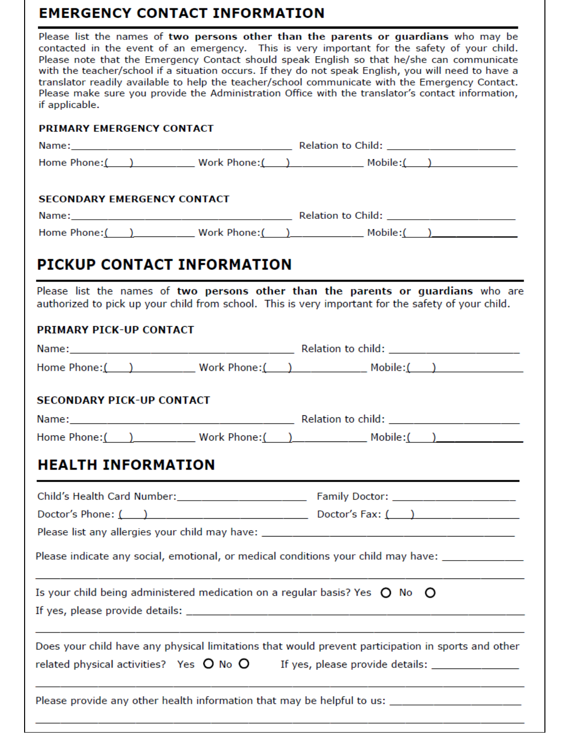## . . . . . *.* .

| <b>EMERGENCY CONTACT INFORMATION</b>                                                                                                                                                                                                                                                                                                                                                                                                                                                                                                                                                                                |  |  |  |
|---------------------------------------------------------------------------------------------------------------------------------------------------------------------------------------------------------------------------------------------------------------------------------------------------------------------------------------------------------------------------------------------------------------------------------------------------------------------------------------------------------------------------------------------------------------------------------------------------------------------|--|--|--|
| Please list the names of two persons other than the parents or guardians who may be<br>contacted in the event of an emergency. This is very important for the safety of your child.<br>Please note that the Emergency Contact should speak English so that he/she can communicate<br>with the teacher/school if a situation occurs. If they do not speak English, you will need to have a<br>translator readily available to help the teacher/school communicate with the Emergency Contact.<br>Please make sure you provide the Administration Office with the translator's contact information,<br>if applicable. |  |  |  |
| PRIMARY EMERGENCY CONTACT                                                                                                                                                                                                                                                                                                                                                                                                                                                                                                                                                                                           |  |  |  |
|                                                                                                                                                                                                                                                                                                                                                                                                                                                                                                                                                                                                                     |  |  |  |
| Home Phone: $\begin{pmatrix} 1 & 1 \\ 1 & 1 \end{pmatrix}$ Work Phone: $\begin{pmatrix} 1 & 1 \\ 1 & 1 \end{pmatrix}$ Mobile: $\begin{pmatrix} 1 & 1 \\ 1 & 1 \end{pmatrix}$                                                                                                                                                                                                                                                                                                                                                                                                                                        |  |  |  |
| <b>SECONDARY EMERGENCY CONTACT</b>                                                                                                                                                                                                                                                                                                                                                                                                                                                                                                                                                                                  |  |  |  |
|                                                                                                                                                                                                                                                                                                                                                                                                                                                                                                                                                                                                                     |  |  |  |
|                                                                                                                                                                                                                                                                                                                                                                                                                                                                                                                                                                                                                     |  |  |  |
| <b>PICKUP CONTACT INFORMATION</b>                                                                                                                                                                                                                                                                                                                                                                                                                                                                                                                                                                                   |  |  |  |
| Please list the names of two persons other than the parents or guardians who are<br>authorized to pick up your child from school. This is very important for the safety of your child.                                                                                                                                                                                                                                                                                                                                                                                                                              |  |  |  |
| <b>PRIMARY PICK-UP CONTACT</b>                                                                                                                                                                                                                                                                                                                                                                                                                                                                                                                                                                                      |  |  |  |
|                                                                                                                                                                                                                                                                                                                                                                                                                                                                                                                                                                                                                     |  |  |  |
| Home Phone: ( ) Work Phone: ( ) Mobile: ( )                                                                                                                                                                                                                                                                                                                                                                                                                                                                                                                                                                         |  |  |  |
| <b>SECONDARY PICK-UP CONTACT</b>                                                                                                                                                                                                                                                                                                                                                                                                                                                                                                                                                                                    |  |  |  |
|                                                                                                                                                                                                                                                                                                                                                                                                                                                                                                                                                                                                                     |  |  |  |
|                                                                                                                                                                                                                                                                                                                                                                                                                                                                                                                                                                                                                     |  |  |  |
| <b>HEALTH INFORMATION</b>                                                                                                                                                                                                                                                                                                                                                                                                                                                                                                                                                                                           |  |  |  |
|                                                                                                                                                                                                                                                                                                                                                                                                                                                                                                                                                                                                                     |  |  |  |
| Doctor's Phone: $\begin{pmatrix} 1 & 1 & 1 \\ 1 & 1 & 1 \end{pmatrix}$ Doctor's Fax: $\begin{pmatrix} 1 & 1 & 1 \\ 1 & 1 & 1 \end{pmatrix}$                                                                                                                                                                                                                                                                                                                                                                                                                                                                         |  |  |  |
|                                                                                                                                                                                                                                                                                                                                                                                                                                                                                                                                                                                                                     |  |  |  |
| Please indicate any social, emotional, or medical conditions your child may have: ____________                                                                                                                                                                                                                                                                                                                                                                                                                                                                                                                      |  |  |  |
| Is your child being administered medication on a regular basis? Yes $\,\mathsf{O}\,$ No $\,\mathsf{O}\,$                                                                                                                                                                                                                                                                                                                                                                                                                                                                                                            |  |  |  |
| Does your child have any physical limitations that would prevent participation in sports and other                                                                                                                                                                                                                                                                                                                                                                                                                                                                                                                  |  |  |  |

Please provide any other health information that may be helpful to us: \_\_\_\_\_\_\_\_\_\_\_\_\_\_\_\_\_\_\_\_\_\_\_\_\_\_\_\_\_